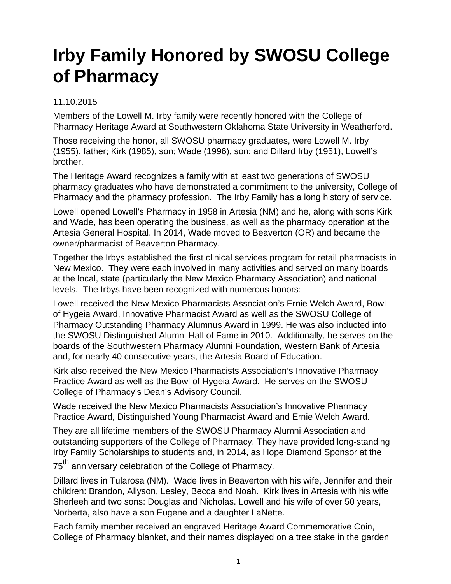## **Irby Family Honored by SWOSU College of Pharmacy**

## 11.10.2015

Members of the Lowell M. Irby family were recently honored with the College of Pharmacy Heritage Award at Southwestern Oklahoma State University in Weatherford.

Those receiving the honor, all SWOSU pharmacy graduates, were Lowell M. Irby (1955), father; Kirk (1985), son; Wade (1996), son; and Dillard Irby (1951), Lowell's brother.

The Heritage Award recognizes a family with at least two generations of SWOSU pharmacy graduates who have demonstrated a commitment to the university, College of Pharmacy and the pharmacy profession. The Irby Family has a long history of service.

Lowell opened Lowell's Pharmacy in 1958 in Artesia (NM) and he, along with sons Kirk and Wade, has been operating the business, as well as the pharmacy operation at the Artesia General Hospital. In 2014, Wade moved to Beaverton (OR) and became the owner/pharmacist of Beaverton Pharmacy.

Together the Irbys established the first clinical services program for retail pharmacists in New Mexico. They were each involved in many activities and served on many boards at the local, state (particularly the New Mexico Pharmacy Association) and national levels. The Irbys have been recognized with numerous honors:

Lowell received the New Mexico Pharmacists Association's Ernie Welch Award, Bowl of Hygeia Award, Innovative Pharmacist Award as well as the SWOSU College of Pharmacy Outstanding Pharmacy Alumnus Award in 1999. He was also inducted into the SWOSU Distinguished Alumni Hall of Fame in 2010. Additionally, he serves on the boards of the Southwestern Pharmacy Alumni Foundation, Western Bank of Artesia and, for nearly 40 consecutive years, the Artesia Board of Education.

Kirk also received the New Mexico Pharmacists Association's Innovative Pharmacy Practice Award as well as the Bowl of Hygeia Award. He serves on the SWOSU College of Pharmacy's Dean's Advisory Council.

Wade received the New Mexico Pharmacists Association's Innovative Pharmacy Practice Award, Distinguished Young Pharmacist Award and Ernie Welch Award.

They are all lifetime members of the SWOSU Pharmacy Alumni Association and outstanding supporters of the College of Pharmacy. They have provided long-standing Irby Family Scholarships to students and, in 2014, as Hope Diamond Sponsor at the

75<sup>th</sup> anniversary celebration of the College of Pharmacy.

Dillard lives in Tularosa (NM). Wade lives in Beaverton with his wife, Jennifer and their children: Brandon, Allyson, Lesley, Becca and Noah. Kirk lives in Artesia with his wife Sherleeh and two sons: Douglas and Nicholas. Lowell and his wife of over 50 years, Norberta, also have a son Eugene and a daughter LaNette.

Each family member received an engraved Heritage Award Commemorative Coin, College of Pharmacy blanket, and their names displayed on a tree stake in the garden